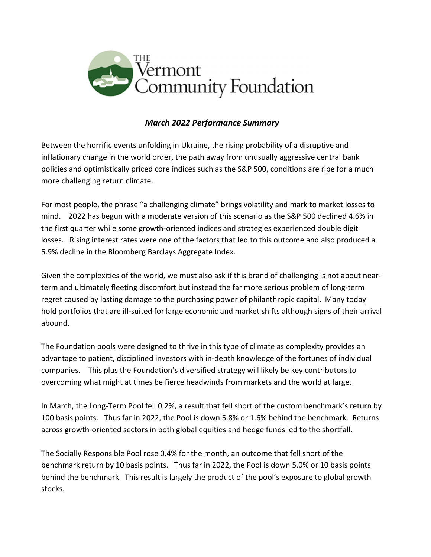

## March 2022 Performance Summary

Between the horrific events unfolding in Ukraine, the rising probability of a disruptive and inflationary change in the world order, the path away from unusually aggressive central bank policies and optimistically priced core indices such as the S&P 500, conditions are ripe for a much more challenging return climate.

For most people, the phrase "a challenging climate" brings volatility and mark to market losses to mind. 2022 has begun with a moderate version of this scenario as the S&P 500 declined 4.6% in the first quarter while some growth-oriented indices and strategies experienced double digit losses. Rising interest rates were one of the factors that led to this outcome and also produced a 5.9% decline in the Bloomberg Barclays Aggregate Index.

Given the complexities of the world, we must also ask if this brand of challenging is not about nearterm and ultimately fleeting discomfort but instead the far more serious problem of long-term regret caused by lasting damage to the purchasing power of philanthropic capital. Many today hold portfolios that are ill-suited for large economic and market shifts although signs of their arrival abound.

The Foundation pools were designed to thrive in this type of climate as complexity provides an advantage to patient, disciplined investors with in-depth knowledge of the fortunes of individual companies. This plus the Foundation's diversified strategy will likely be key contributors to overcoming what might at times be fierce headwinds from markets and the world at large.

In March, the Long-Term Pool fell 0.2%, a result that fell short of the custom benchmark's return by 100 basis points. Thus far in 2022, the Pool is down 5.8% or 1.6% behind the benchmark. Returns across growth-oriented sectors in both global equities and hedge funds led to the shortfall.

The Socially Responsible Pool rose 0.4% for the month, an outcome that fell short of the benchmark return by 10 basis points. Thus far in 2022, the Pool is down 5.0% or 10 basis points behind the benchmark. This result is largely the product of the pool's exposure to global growth stocks.